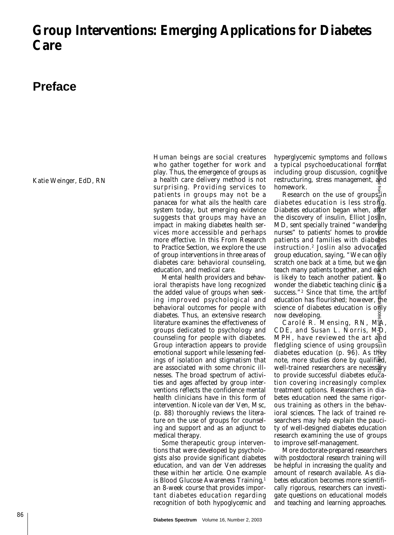## **Group Interventions: Emerging Applications for Diabetes Care**

## **Preface**

Katie Weinger, EdD, RN

Human beings are social creatures who gather together for work and play. Thus, the emergence of groups as a health care delivery method is not surprising. Providing services to patients in groups may not be a panacea for what ails the health care system today, but emerging evidence suggests that groups may have an impact in making diabetes health services more accessible and perhaps more effective. In this From Research to Practice Section, we explore the use of group interventions in three areas of diabetes care: behavioral counseling, education, and medical care.

Mental health providers and behavioral therapists have long recognized the added value of groups when seeking improved psychological and behavioral outcomes for people with diabetes. Thus, an extensive research literature examines the effectiveness of groups dedicated to psychology and counseling for people with diabetes. Group interaction appears to provide emotional support while lessening feelings of isolation and stigmatism that are associated with some chronic illnesses. The broad spectrum of activities and ages affected by group interventions reflects the confidence mental health clinicians have in this form of intervention. Nicole van der Ven, Msc, (p. 88) thoroughly reviews the literature on the use of groups for counseling and support and as an adjunct to medical therapy.

Some therapeutic group interventions that were developed by psychologists also provide significant diabetes education, and van der Ven addresses these within her article. One example is Blood Glucose Awareness Training,<sup>1</sup> an 8-week course that provides important diabetes education regarding recognition of both hypoglycemic and hyperglycemic symptoms and follows a typical psychoeducational format including group discussion, cognit<sub>ive</sub> restructuring, stress management, and homework.

Research on the use of groups $\frac{3}{2}$ in diabetes education is less strong. Diabetes education began when, after the discovery of insulin, Elliot Joslin, MD, sent specially trained "wandering" nurses" to patients' homes to provide patients and families with diaberes instruction.<sup>2</sup> Joslin also advocated group education, saying, "We can only scratch one back at a time, but we gan teach many patients together, and each is likely to teach another patient.  $N$ o wonder the diabetic teaching clinic  $\bar{S}$  a success."<sup>2</sup> Since that time, the artgof education has flourished; however, the science of diabetes education is only now developing.

Carolé R. Mensing, RN, MA, CDE, and Susan L. Norris, MD, MPH, have reviewed the art and fledgling science of using groups  $sin$ diabetes education (p. 96). As they note, more studies done by qualified, well-trained researchers are necessary to provide successful diabetes education covering increasingly complex treatment options. Researchers in diabetes education need the same rigorous training as others in the behavioral sciences. The lack of trained researchers may help explain the paucity of well-designed diabetes education research examining the use of groups to improve self-management. a typical psychoeducational formeducational formeducating group discussion, cognitive research on the use of groups<sup>3</sup><br>interactuating, stress management,  $\frac{3}{4}$ <br>diabetes education is less stronge.<br>Diabetes education is

More doctorate-prepared researchers with postdoctoral research training will be helpful in increasing the quality and amount of research available. As diabetes education becomes more scientifically rigorous, researchers can investigate questions on educational models